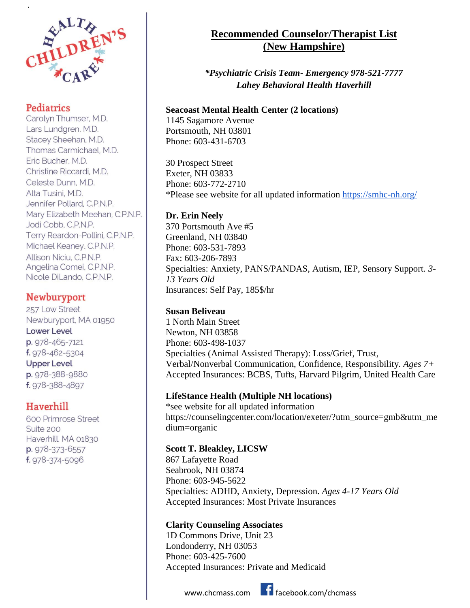

## **Pediatrics**

.

Carolyn Thumser, M.D. Lars Lundgren, M.D. Stacey Sheehan, M.D. Thomas Carmichael, M.D. Eric Bucher, M.D. Christine Riccardi, M.D. Celeste Dunn, M.D. Alta Tusini, M.D. Jennifer Pollard, C.P.N.P. Mary Elizabeth Meehan, C.P.N.P. Jodi Cobb, C.P.N.P. Terry Reardon-Pollini, C.P.N.P. Michael Keaney, C.P.N.P. Allison Niciu, C.P.N.P. Angelina Comei, C.P.N.P. Nicole DiLando, C.P.N.P.

# **Newburyport**

257 Low Street Newburyport, MA 01950 **Lower Level** p. 978-465-7121 f. 978-462-5304 **Upper Level** p. 978-388-9880 f. 978-388-4897

## Haverhill

600 Primrose Street Suite 200 Haverhill, MA 01830 p. 978-373-6557 f. 978-374-5096

# **Recommended Counselor/Therapist List (New Hampshire)**

*\*Psychiatric Crisis Team- Emergency 978-521-7777 Lahey Behavioral Health Haverhill*

#### **Seacoast Mental Health Center (2 locations)**

1145 Sagamore Avenue Portsmouth, NH 03801 Phone: 603-431-6703

30 Prospect Street Exeter, NH 03833 Phone: 603-772-2710 \*Please see website for all updated information<https://smhc-nh.org/>

## **Dr. Erin Neely**

370 Portsmouth Ave #5 Greenland, NH 03840 Phone: 603-531-7893 Fax: 603-206-7893 Specialties: Anxiety, PANS/PANDAS, Autism, IEP, Sensory Support. *3- 13 Years Old* Insurances: Self Pay, 185\$/hr

## **Susan Beliveau**

1 North Main Street Newton, NH 03858 Phone: 603-498-1037 Specialties (Animal Assisted Therapy): Loss/Grief, Trust, Verbal/Nonverbal Communication, Confidence, Responsibility. *Ages 7+*  Accepted Insurances: BCBS, Tufts, Harvard Pilgrim, United Health Care

## **LifeStance Health (Multiple NH locations)**

\*see website for all updated information https://counselingcenter.com/location/exeter/?utm\_source=gmb&utm\_me dium=organic

#### **Scott T. Bleakley, LICSW**

867 Lafayette Road Seabrook, NH 03874 Phone: 603-945-5622 Specialties: ADHD, Anxiety, Depression. *Ages 4-17 Years Old*  Accepted Insurances: Most Private Insurances

## **Clarity Counseling Associates**

1D Commons Drive, Unit 23 Londonderry, NH 03053 Phone: 603-425-7600 Accepted Insurances: Private and Medicaid